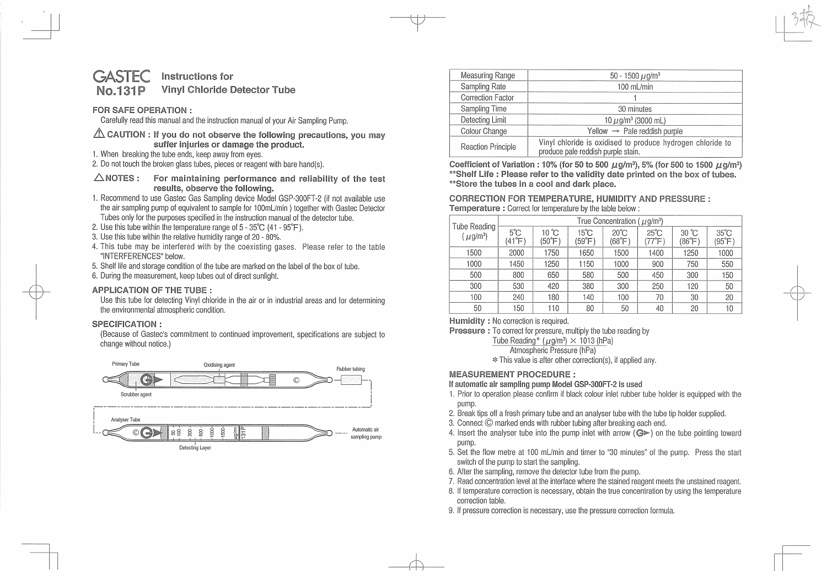#### **GASTEC No.131P Instructions for Vinyl Chloride Detector Tube**

# **FOR SAFE OPERATION** :

Carefully read this manual and the instruction manual of your Air Sampling Pump.

- A. CAUTION : If you do not observe the following precautions, you may **suffer injuries or damage the product.**
- 1. When breaking the tube ends, keep away from eyes.
- 2. Do not touch the broken glass tubes, pieces or reagent with bare hand(s).
- **6.NOTES : For maintaining performance and reliability of the test results, observe the following.**
- 1. Recommend to use Gastec Gas Sampling device Model GSP-300FT-2 (if not available use the air sampling pump of equivalent to sample for 100mL/min ) together with Gastec Detector Tubes only for the purposes specified in the instruction manual of the detector tube.
- 2. Use this tube within the temperature range of 5- 35°C (41 95°F).
- 3. Use this tube within the relative humidity range of 20 80%.
- 4. This tube may be interfered with by the coexisting gases. Please refer to the table "INTERFERENCES" below.
- 5. Shelf life and storage condition of the tube are marked on the label of the box of tube.
- 6. During the measurement, keep tubes out of direct sunlight.

# **APPLICATION OF THE TUBE** :

Use this tube for detecting Vinyl chloride in the air or in industrial areas and for determining the environmental atmospheric condition.

# **SPECIFICATION** :

(Because of Gastec's commitment to continued improvement, specifications are subject to change without notice.)



| Measuring Range           | 50 - 1500 $\mu$ g/m <sup>3</sup>                                                                 |  |  |  |
|---------------------------|--------------------------------------------------------------------------------------------------|--|--|--|
| Sampling Rate             | 100 mL/min                                                                                       |  |  |  |
| Correction Factor         |                                                                                                  |  |  |  |
| Sampling Time             | 30 minutes                                                                                       |  |  |  |
| Detecting Limit           | 10 $\mu$ g/m <sup>3</sup> (3000 mL)                                                              |  |  |  |
| Colour Change             | Yellow $\rightarrow$ Pale reddish purple                                                         |  |  |  |
| <b>Reaction Principle</b> | Vinyl chloride is oxidised to produce hydrogen chloride to<br>produce pale reddish purple stain. |  |  |  |

**Coefficient of Variation: 10% (for 50 to 500 µg/m<sup>3</sup>), 5% (for 500 to 1500 µg/m<sup>3</sup> ) \*\*Shelf Life : Please refer to the validity date printed on the box of tubes. \*\*Store the tubes in a cool and dark place.** 

### **CORRECTION FOR TEMPERATURE, HUMIDITY AND PRESSURE: Temperature** : Correct for temperature by the table below:

| Tube Reading<br>$(\mu$ g/m <sup>3</sup> ) | True Concentration ( $\mu$ q/m <sup>3</sup> ) |                          |                          |                          |                          |                          |                          |
|-------------------------------------------|-----------------------------------------------|--------------------------|--------------------------|--------------------------|--------------------------|--------------------------|--------------------------|
|                                           | $5^{\circ}$ C<br>(41°F)                       | $10^{\circ}$ C<br>(50°F) | $15^{\circ}$ C<br>(59°F) | $20^{\circ}$ C<br>(68°F) | $25^{\circ}$ C<br>'77°F) | $30^{\circ}$ C<br>(86°F) | $35^{\circ}$ C<br>(95°F) |
| 1500                                      | 2000                                          | 1750                     | 1650                     | 1500                     | 1400                     | 1250                     | 1000                     |
| 1000                                      | 1450                                          | 1250                     | 1150                     | 1000                     | 900                      | 750                      | 550                      |
| 500                                       | 800                                           | 650                      | 580                      | 500                      | 450                      | 300                      | 150                      |
| 300                                       | 530                                           | 420                      | 380                      | 300                      | 250                      | 120                      | 50                       |
| 100                                       | 240                                           | 180                      | 140                      | 100                      | 70                       | 30                       | 20                       |
| 50                                        | 150                                           | 110                      | 80                       | 50                       | 40                       | 20                       | 10                       |

**Humidity** : No correction is required.

**Pressure** : To correct for pressure, multiply the tube reading by

Tube Reading\* ( $\mu$ g/m<sup>3</sup>)  $\times$  1013 (hPa)

Atmospheric Pressure (hPa)

\* This value is after other correction(s), if applied any.

# **MEASUREMENT PROCEDURE:**

**If automatic** air **sampling pump** Model **GSP-300FT-2 is used** 

- 1. Prior to operation please confirm if black colour inlet rubber tube holder is equipped with the pump.
- 2. Break tips off a fresh primary tube and an analyser tube with the tube tip holder supplied.
- 3. Connect © marked ends with rubber tubing after breaking each end.
- 4. Insert the analyser tube into the pump inlet with arrow  $(Q \triangleright)$  on the tube pointing toward pump.
- 5. Set the flow metre at 100 ml/min and timer to "30 minutes" of the pump. Press the start switch of the pump to start the sampling.
- 6. After the sampling, remove the detector tube from the pump.
- 7. Read concentration level at the interface where the stained reagent meets the unstained reagent.
- 8. If temperature correction is necessary, obtain the true concentration by using the temperature correction table.
- 9. If pressure correction is necessary, use the pressure correction formula.